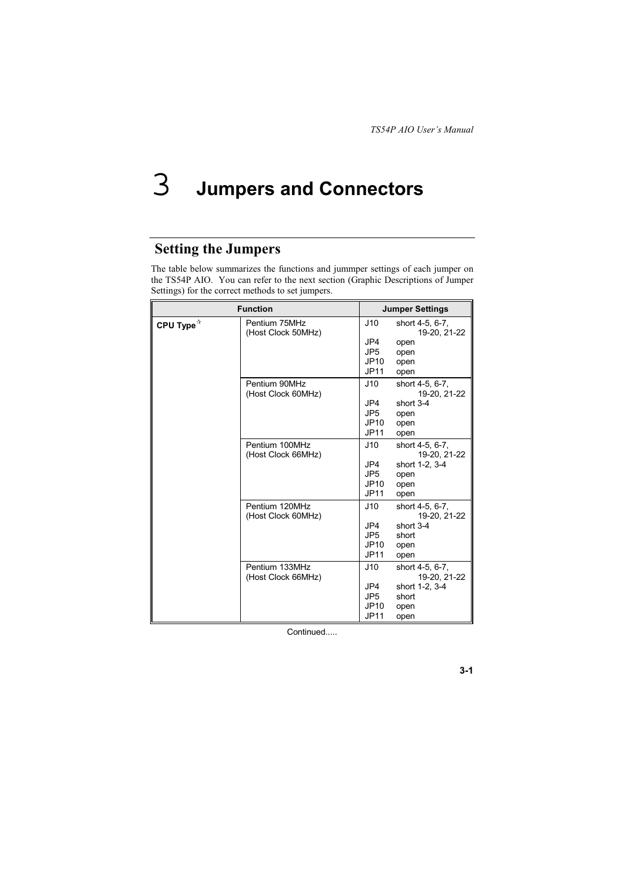### 3 **Jumpers and Connectors**

# **Setting the Jumpers**

The table below summarizes the functions and jummper settings of each jumper on the TS54P AIO. You can refer to the next section (Graphic Descriptions of Jumper Settings) for the correct methods to set jumpers.

| <b>Function</b>       |                                      | <b>Jumper Settings</b>                               |                                                                            |  |
|-----------------------|--------------------------------------|------------------------------------------------------|----------------------------------------------------------------------------|--|
| CPU Type <sup>*</sup> | Pentium 75MHz<br>(Host Clock 50MHz)  | J10<br>JP4<br>JP <sub>5</sub><br>JP10<br><b>JP11</b> | short 4-5, 6-7,<br>19-20, 21-22<br>open<br>open<br>open<br>open            |  |
|                       | Pentium 90MHz<br>(Host Clock 60MHz)  | J10<br>JP4<br>JP <sub>5</sub><br>JP10<br><b>JP11</b> | short 4-5, 6-7,<br>19-20, 21-22<br>short 3-4<br>open<br>open<br>open       |  |
|                       | Pentium 100MHz<br>(Host Clock 66MHz) | J10<br>JP4<br>JP <sub>5</sub><br>JP10<br><b>JP11</b> | short 4-5, 6-7,<br>19-20, 21-22<br>short 1-2, 3-4<br>open<br>open<br>open  |  |
|                       | Pentium 120MHz<br>(Host Clock 60MHz) | J10<br>JP4<br>JP <sub>5</sub><br>JP10<br>JP11        | short 4-5, 6-7,<br>19-20, 21-22<br>short $3-4$<br>short<br>open<br>open    |  |
|                       | Pentium 133MHz<br>(Host Clock 66MHz) | J10<br>JP4<br>JP <sub>5</sub><br>JP10<br><b>JP11</b> | short 4-5, 6-7,<br>19-20, 21-22<br>short 1-2, 3-4<br>short<br>open<br>open |  |

Continued.....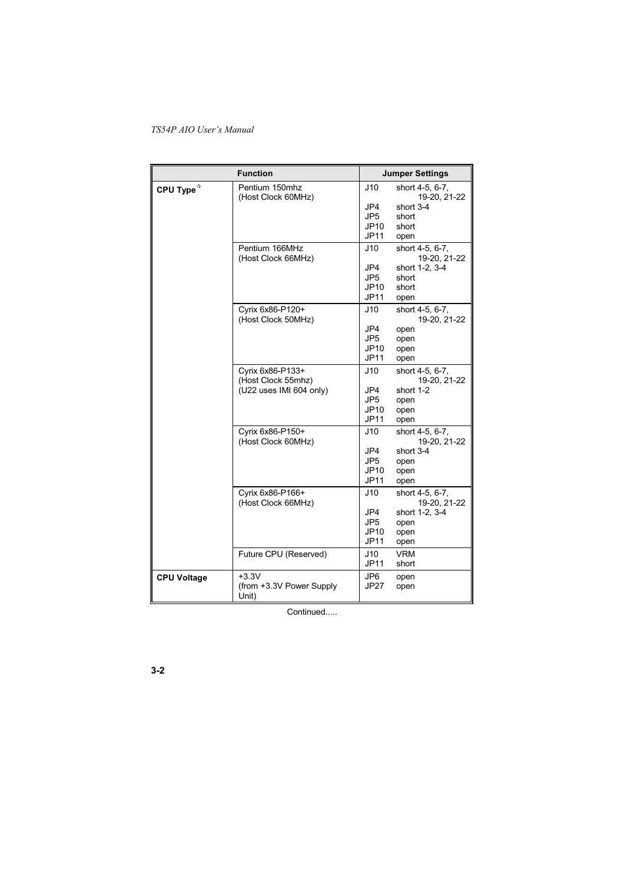| <b>Function</b>       |                                                                   | <b>Jumper Settings</b>                               |                                                                             |  |
|-----------------------|-------------------------------------------------------------------|------------------------------------------------------|-----------------------------------------------------------------------------|--|
| CPU Type <sup>☆</sup> | Pentium 150mhz<br>(Host Clock 60MHz)                              | J10<br>JP4<br>JP <sub>5</sub><br>JP10<br><b>JP11</b> | short 4-5, 6-7,<br>19-20, 21-22<br>short 3-4<br>short<br>short<br>open      |  |
|                       | Pentium 166MHz<br>(Host Clock 66MHz)                              | J10<br>JP4<br>JP5<br>JP10<br><b>JP11</b>             | short 4-5, 6-7,<br>19-20, 21-22<br>short 1-2, 3-4<br>short<br>short<br>open |  |
|                       | Cyrix 6x86-P120+<br>(Host Clock 50MHz)                            | J10<br>JP4<br>JP <sub>5</sub><br>JP10<br><b>JP11</b> | short 4-5, 6-7,<br>19-20, 21-22<br>open<br>open<br>open<br>open             |  |
|                       | Cyrix 6x86-P133+<br>(Host Clock 55mhz)<br>(U22 uses IMI 604 only) | J10<br>JP4<br>JP <sub>5</sub><br>JP10<br><b>JP11</b> | short 4-5, 6-7,<br>19-20, 21-22<br>short 1-2<br>open<br>open<br>open        |  |
|                       | Cyrix 6x86-P150+<br>(Host Clock 60MHz)                            | J10<br>JP4<br>JP <sub>5</sub><br>JP10<br>JP11        | short 4-5, 6-7,<br>19-20, 21-22<br>short 3-4<br>open<br>open<br>open        |  |
|                       | Cyrix 6x86-P166+<br>(Host Clock 66MHz)                            | J10<br>JP4<br>JP <sub>5</sub><br>JP10<br><b>JP11</b> | short 4-5, 6-7,<br>19-20, 21-22<br>short 1-2, 3-4<br>open<br>open<br>open   |  |
|                       | Future CPU (Reserved)                                             | J10<br><b>JP11</b>                                   | <b>VRM</b><br>short                                                         |  |
| <b>CPU Voltage</b>    | $+3.3V$<br>(from +3.3V Power Supply)<br>Unit)                     | JP6<br><b>JP27</b>                                   | open<br>open                                                                |  |

Continued.....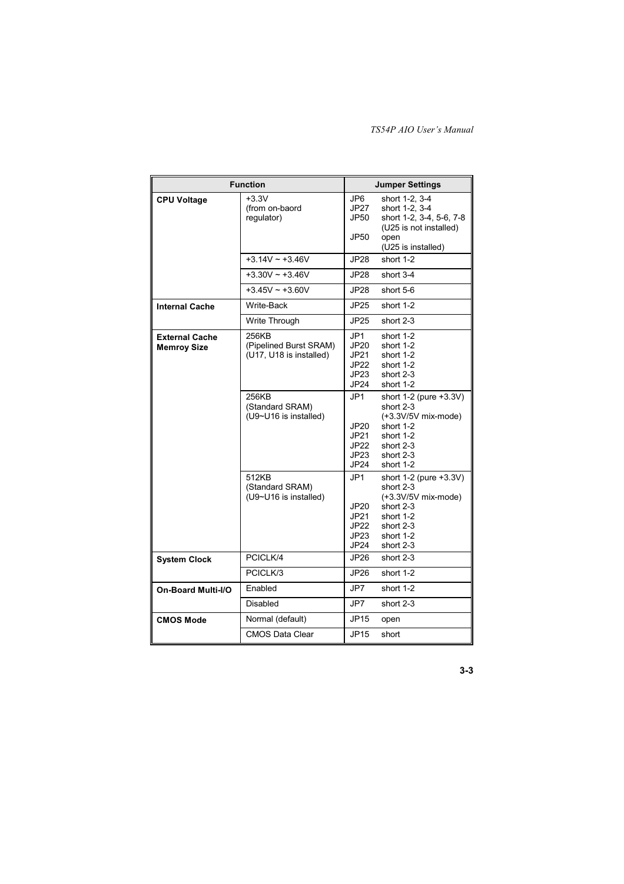| <b>Function</b>                             |                                                            | <b>Jumper Settings</b>                      |                                                                                                                             |  |
|---------------------------------------------|------------------------------------------------------------|---------------------------------------------|-----------------------------------------------------------------------------------------------------------------------------|--|
| <b>CPU Voltage</b>                          | $+3.3V$<br>(from on-baord<br>requlator)                    | JP6.<br>JP27<br>JP50.<br>JP50               | short 1-2, 3-4<br>short 1-2, 3-4<br>short 1-2, 3-4, 5-6, 7-8<br>(U25 is not installed)<br>open<br>(U25 is installed)        |  |
|                                             | $+3.14V - +3.46V$                                          | JP28                                        | short 1-2                                                                                                                   |  |
|                                             | $+3.30V - +3.46V$                                          | JP28                                        | short 3-4                                                                                                                   |  |
|                                             | $+3.45V - +3.60V$                                          | JP28                                        | short 5-6                                                                                                                   |  |
| <b>Internal Cache</b>                       | Write-Back                                                 | JP25                                        | short 1-2                                                                                                                   |  |
|                                             | Write Through                                              | JP25                                        | short 2-3                                                                                                                   |  |
| <b>External Cache</b><br><b>Memroy Size</b> | 256KB<br>(Pipelined Burst SRAM)<br>(U17, U18 is installed) | JP1<br>JP20<br>JP21<br>JP22<br>JP23<br>JP24 | short 1-2<br>short 1-2<br>short 1-2<br>short 1-2<br>short 2-3<br>short 1-2                                                  |  |
|                                             | 256KB<br>(Standard SRAM)<br>(U9~U16 is installed)          | JP1<br>JP20<br>JP21<br>JP22<br>JP23<br>JP24 | short 1-2 (pure +3.3V)<br>short 2-3<br>(+3.3V/5V mix-mode)<br>short 1-2<br>short 1-2<br>short 2-3<br>short 2-3<br>short 1-2 |  |
|                                             | 512KB<br>(Standard SRAM)<br>(U9~U16 is installed)          | JP1<br>JP20<br>JP21<br>JP22<br>JP23<br>JP24 | short 1-2 (pure +3.3V)<br>short 2-3<br>(+3.3V/5V mix-mode)<br>short 2-3<br>short 1-2<br>short 2-3<br>short 1-2<br>short 2-3 |  |
| <b>System Clock</b>                         | PCICLK/4                                                   | JP26                                        | short 2-3                                                                                                                   |  |
|                                             | PCICLK/3                                                   | JP26                                        | short 1-2                                                                                                                   |  |
| <b>On-Board Multi-I/O</b>                   | Enabled                                                    | JP7                                         | short 1-2                                                                                                                   |  |
|                                             | Disabled                                                   | JP7                                         | short 2-3                                                                                                                   |  |
| <b>CMOS Mode</b>                            | Normal (default)                                           | JP15                                        | open                                                                                                                        |  |
|                                             | <b>CMOS Data Clear</b>                                     | JP15                                        | short                                                                                                                       |  |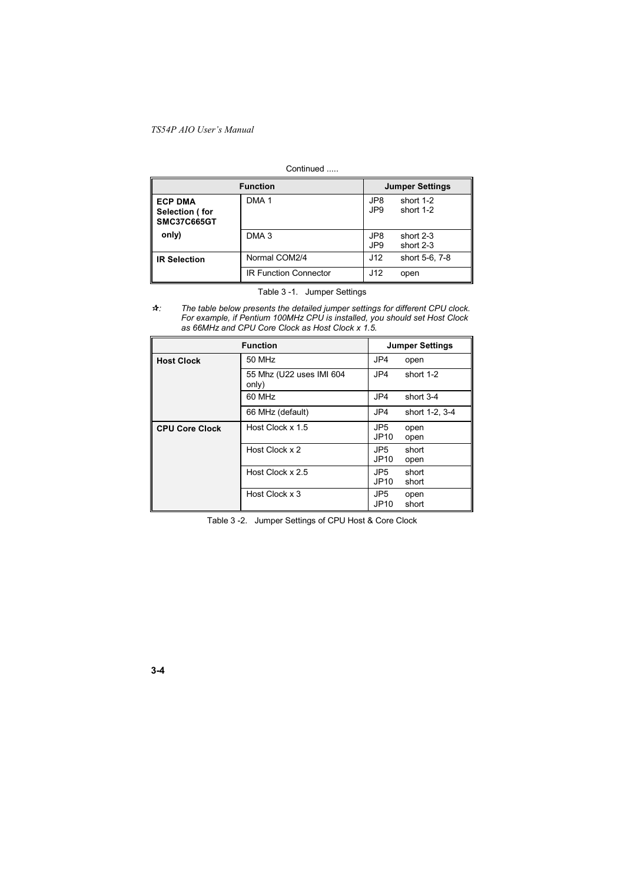#### Continued .....

| <b>Function</b>                                        |                              | <b>Jumper Settings</b> |                        |
|--------------------------------------------------------|------------------------------|------------------------|------------------------|
| <b>ECP DMA</b><br>Selection (for<br><b>SMC37C665GT</b> | DMA <sub>1</sub>             | JP8<br>JP <sub>9</sub> | short 1-2<br>short 1-2 |
| only)                                                  | DMA <sub>3</sub>             | JP8<br>JP <sub>9</sub> | short 2-3<br>short 2-3 |
| <b>IR Selection</b>                                    | Normal COM2/4                | J12                    | short 5-6, 7-8         |
|                                                        | <b>IR Function Connector</b> | J12                    | open                   |

Table 3 -1. Jumper Settings

The table below presents the detailed jumper settings for different CPU clock.<br>For example, if Pentium 100MHz CPU is installed, you should set Host Clock<br>as 66MHz and CPU Core Clock as Host Clock x 1.5.  $A$ : 

| <b>Function</b>       |                                   | <b>Jumper Settings</b>  |                |
|-----------------------|-----------------------------------|-------------------------|----------------|
| <b>Host Clock</b>     | 50 MHz                            | JP4                     | open           |
|                       | 55 Mhz (U22 uses IMI 604<br>only) | JP4                     | short 1-2      |
|                       | 60 MHz                            | JP4                     | short 3-4      |
|                       | 66 MHz (default)                  | JP4                     | short 1-2, 3-4 |
| <b>CPU Core Clock</b> | Host Clock x 1.5                  | JP <sub>5</sub><br>JP10 | open<br>open   |
|                       | Host Clock x 2                    | JP5<br>JP10             | short<br>open  |
|                       | Host Clock x 2.5                  | JP5<br>JP10             | short<br>short |
|                       | Host Clock x 3                    | JP5<br>JP10             | open<br>short  |

Table 3 -2. Jumper Settings of CPU Host & Core Clock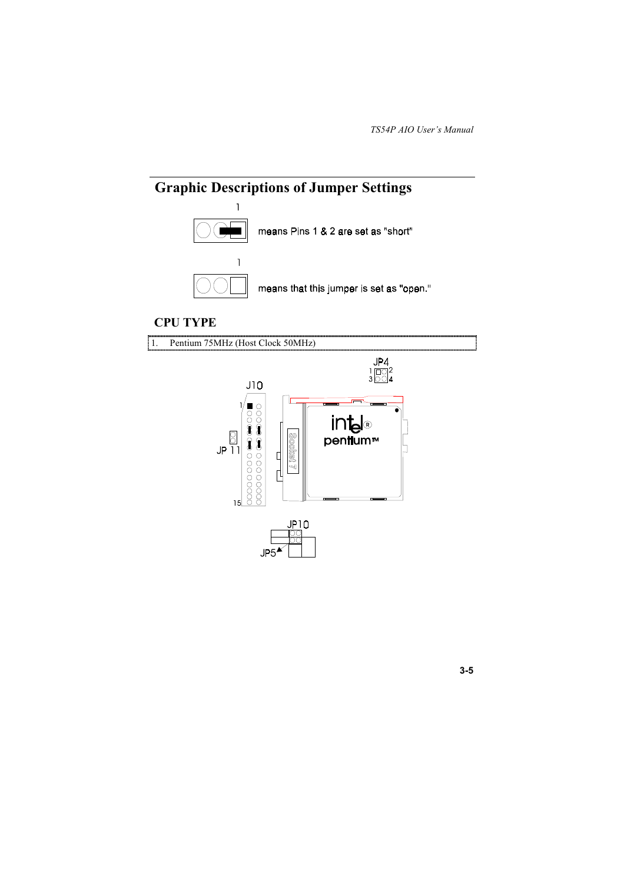

### **CPU TYPE**

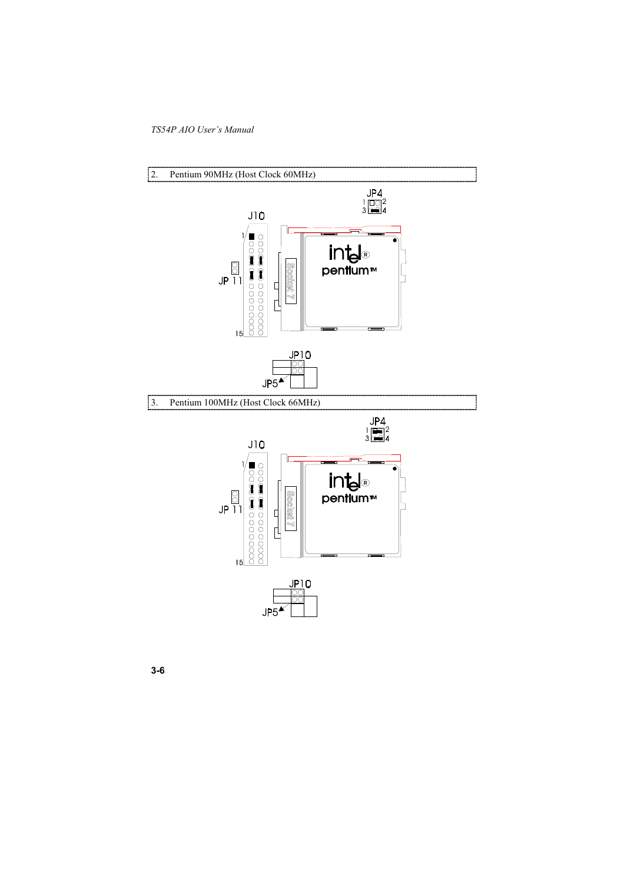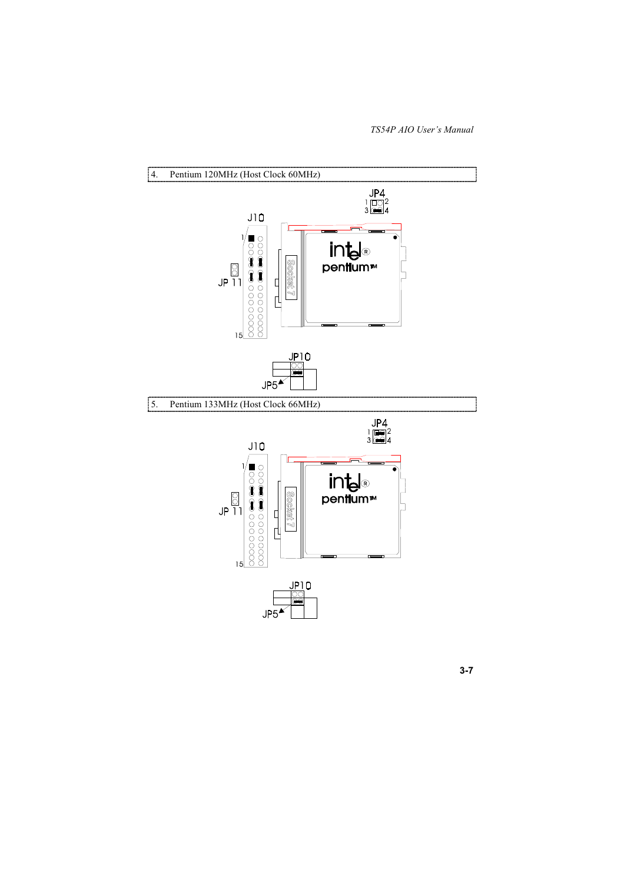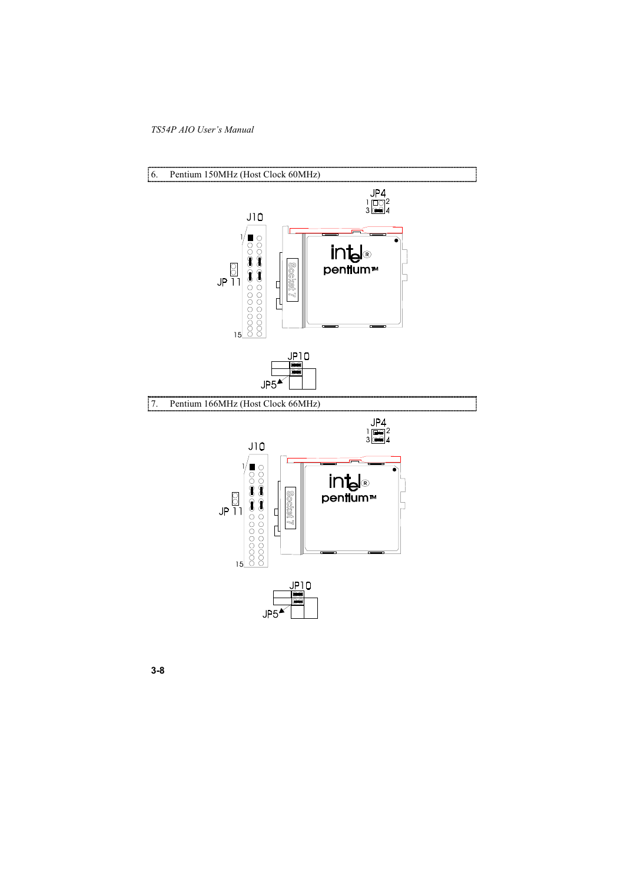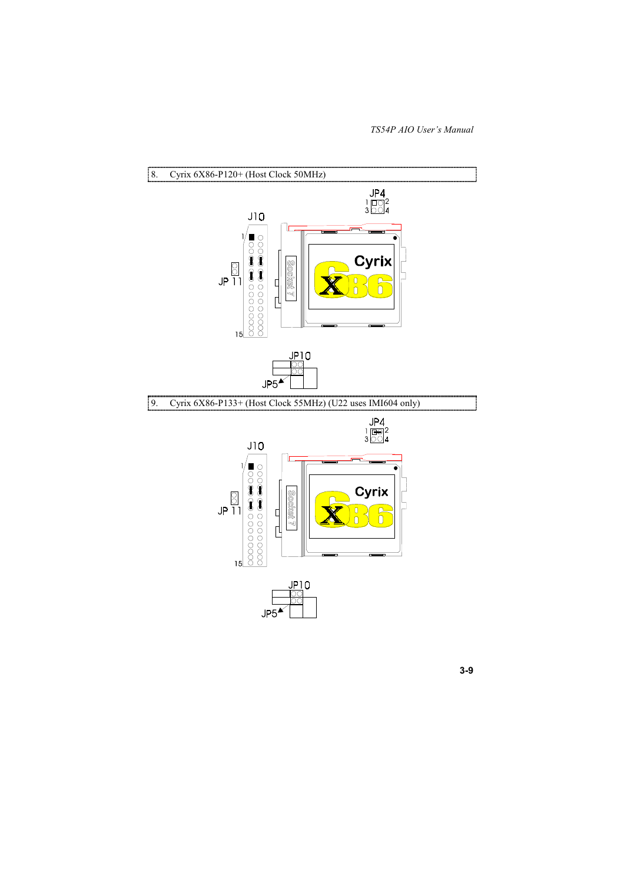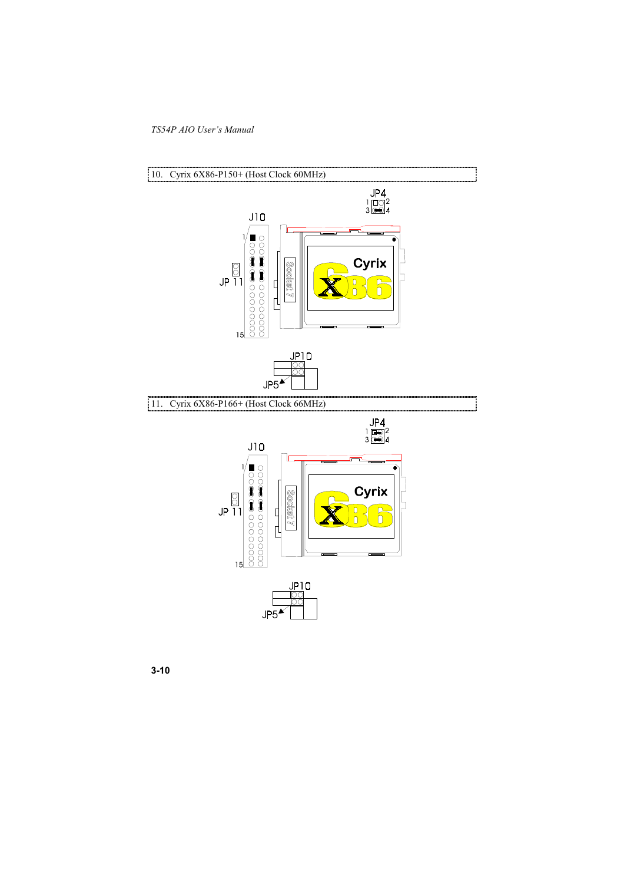

 $3 - 10$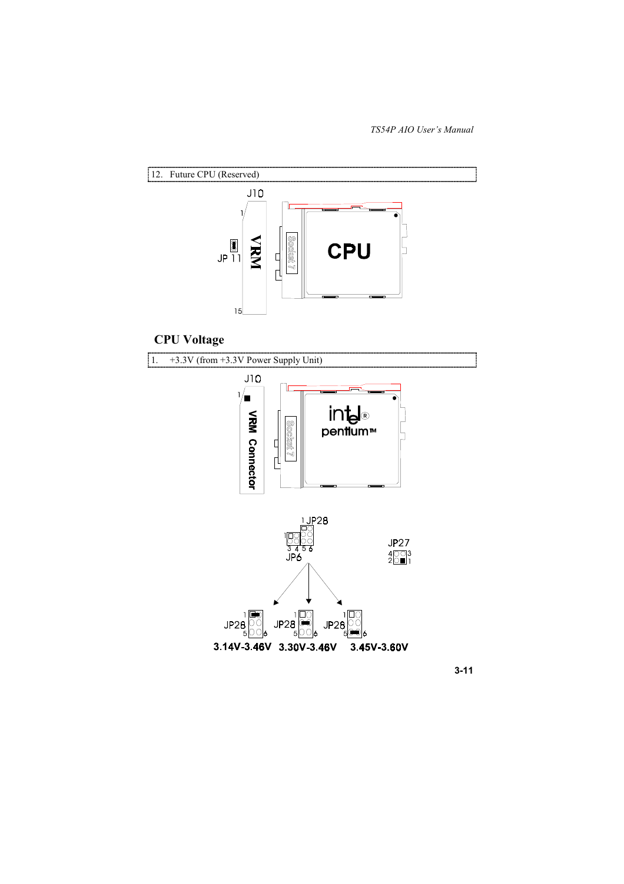

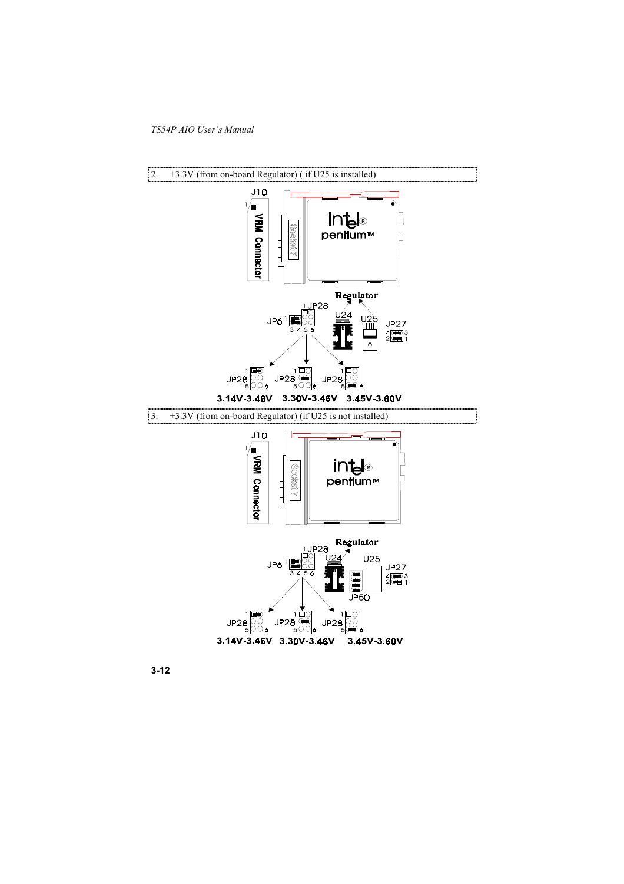

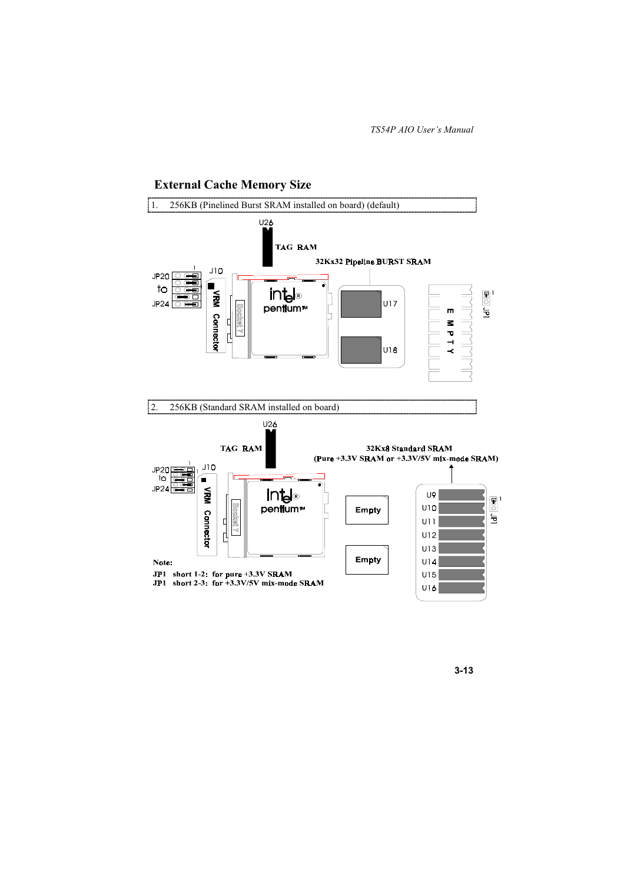

### **External Cache Memory Size**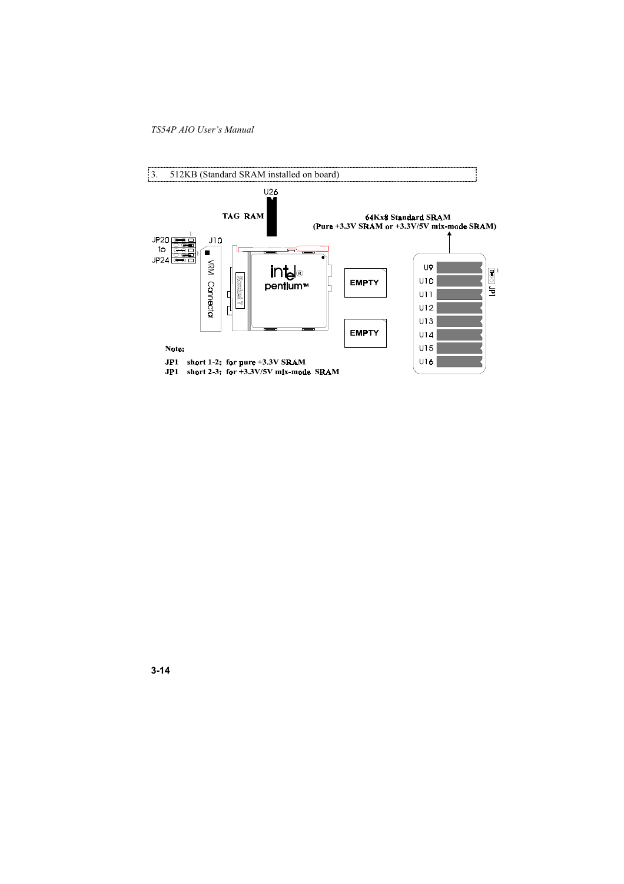

 $3 - 14$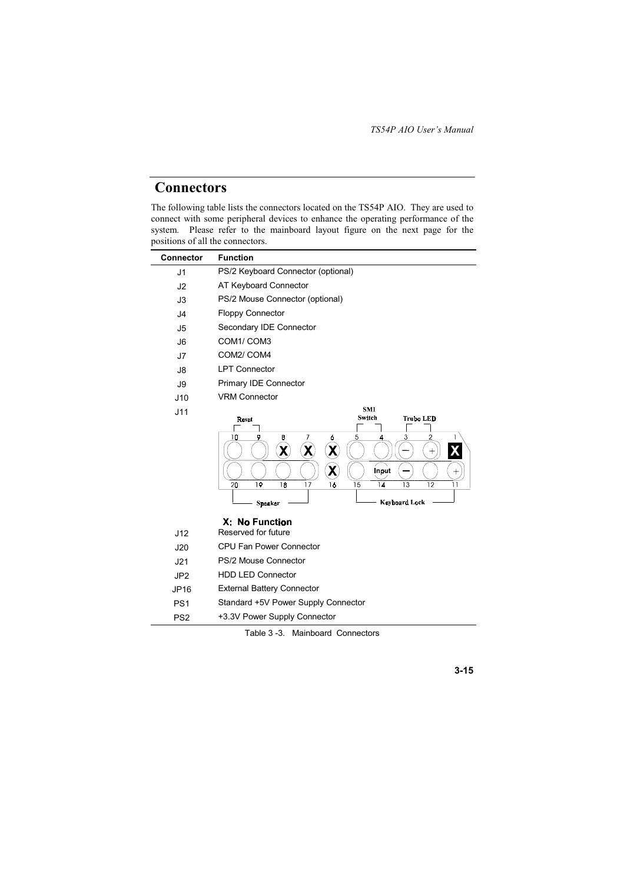## **Connectors**

The following table lists the connectors located on the TS54P AIO. They are used to connect with some peripheral devices to enhance the operating performance of the<br>system. Please refer to the mainboard layout figure on the next page for the positions of all the connectors.

| <b>Connector</b> | <b>Function</b>                                                                                                                                                                                                                                                  |
|------------------|------------------------------------------------------------------------------------------------------------------------------------------------------------------------------------------------------------------------------------------------------------------|
| J <sub>1</sub>   | PS/2 Keyboard Connector (optional)                                                                                                                                                                                                                               |
| J2               | AT Keyboard Connector                                                                                                                                                                                                                                            |
| J3               | PS/2 Mouse Connector (optional)                                                                                                                                                                                                                                  |
| J <sub>4</sub>   | <b>Floppy Connector</b>                                                                                                                                                                                                                                          |
| J <sub>5</sub>   | Secondary IDE Connector                                                                                                                                                                                                                                          |
| J6               | COM1/COM3                                                                                                                                                                                                                                                        |
| J7               | COM2/ COM4                                                                                                                                                                                                                                                       |
| J8               | <b>LPT Connector</b>                                                                                                                                                                                                                                             |
| J9               | Primary IDE Connector                                                                                                                                                                                                                                            |
| J10              | <b>VRM Connector</b>                                                                                                                                                                                                                                             |
| J11              | <b>SMI</b><br>Switch<br><b>Trubo LED</b><br>Reset<br>7<br>10<br>8<br>3<br>2<br>9<br>ó<br>5<br>4<br>X<br>χ<br>χ<br>χ<br>$^{+}$<br>Input<br>$^+$<br>19<br>14<br>18<br>15<br>13<br>12<br>20<br>17<br>16<br><b>Keyboard Lock</b><br><b>Speaker</b><br>X: No Function |
| J12              | Reserved for future                                                                                                                                                                                                                                              |
| J20              | <b>CPU Fan Power Connector</b>                                                                                                                                                                                                                                   |
| J21              | PS/2 Mouse Connector                                                                                                                                                                                                                                             |
| JP <sub>2</sub>  | <b>HDD LED Connector</b>                                                                                                                                                                                                                                         |
| JP16             | <b>External Battery Connector</b>                                                                                                                                                                                                                                |
| PS <sub>1</sub>  | Standard +5V Power Supply Connector                                                                                                                                                                                                                              |
| PS <sub>2</sub>  | +3.3V Power Supply Connector                                                                                                                                                                                                                                     |

Table 3-3. Mainboard Connectors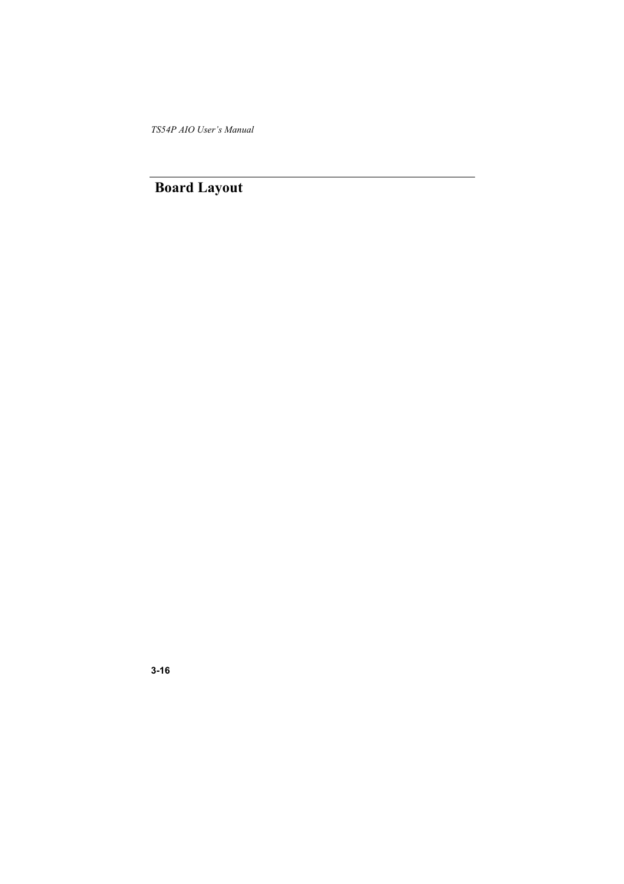**Board Layout**